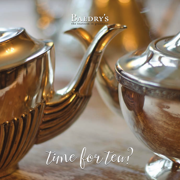

time for tea?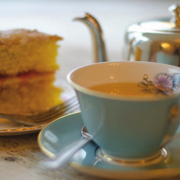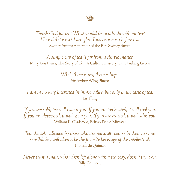

*Thank God for tea! What would the world do without tea? How did it exist? I am glad I was not born before tea.*  Sydney Smith: A memoir of the Rev. Sydney Smith

*A simple cup of tea is far from a simple matter.* Mary Lou Heiss, The Story of Tea: A Cultural History and Drinking Guide

> *While there is tea, there is hope.* Sir Arthur Wing Pinero

*I am in no way interested in immortality, but only in the taste of tea.* Lu T'ung

*If you are cold, tea will warm you. If you are too heated, it will cool you. If you are depressed, it will cheer you. If you are excited, it will calm you.*  William E. Gladstone, British Prime Minister

*Tea, though ridiculed by those who are naturally coarse in their nervous sensibilities, will always be the favorite beverage of the intellectual.*  Thomas de Quincey

*Never trust a man, who when left alone with a tea cosy, doesn't try it on.* Billy Connolly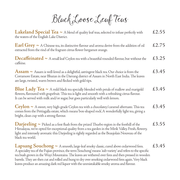Black Loose Leaf Teas

| Lakeland Special Tea $\sim$ A blend of quality leaf teas, selected to infuse perfectly with<br>the waters of the English Lake District.                                                                                                                                                                                                                                                                                                                                                                                   | £2.55 |
|---------------------------------------------------------------------------------------------------------------------------------------------------------------------------------------------------------------------------------------------------------------------------------------------------------------------------------------------------------------------------------------------------------------------------------------------------------------------------------------------------------------------------|-------|
| Earl Grey $\sim$ A Chinese tea, its distinctive flavour and aroma derive from the addition of oil<br>extracted from the rind of the fragrant citrus flower bergamot orange.                                                                                                                                                                                                                                                                                                                                               | £2.75 |
| $\bf \emph{Decaffeinated} \sim \emph{A}$ small leaf Ceylon tea with a beautiful rounded flavour, but without the<br>caffeine.                                                                                                                                                                                                                                                                                                                                                                                             | £3.25 |
| <b>Assam</b> $\sim$ Assam is well-loved as a delightful, astringent black tea. Our choice is from the<br>Corramore Estate, near Bhutan in the Darrang district of Assam in North East India. The leaves<br>are large, twisted, warm brown and flecked with gold tips.                                                                                                                                                                                                                                                     | £3.45 |
| <b>Blue Lady Tea</b> $\sim$ A mild black tea specially blended with petals of mallow and marigold<br>flowers, flavoured with grapefruit. This tea is light and smooth with a refreshing citrus flavour.<br>It can be served with milk and/or sugar, but goes particularly well with lemon.                                                                                                                                                                                                                                | £3.45 |
| $Ceylon \sim A$ sweet, very high-grade Ceylon tea with a chocolatey/caramel aftertaste. This tea<br>comes from the Pettiagalla estate, which means 'box-shaped rock'. A wonderfully light tea, giving a<br>bright, clean cup with a strong flavour.                                                                                                                                                                                                                                                                       | £3.45 |
| <b>Darjeeling</b> $\sim$ Picked as a first flush from the prized Thurbo region in the foothill of the<br>Himalayas, we've opted for exceptional quality from a tea garden in the Mirik Valley. Fresh, flowery,<br>light and intensely aromatic this Darjeeling is rightly regarded as the Beaujolais Nouveau of the<br>black tea world.                                                                                                                                                                                   | £3.55 |
| <b>Lapsang Souchong</b> $\sim$ A smooth, large-leaf smoky classic, cured above cedarwood fires.<br>A speciality tea of the Fujian province, the term 'Souchong' means 'sub-variety' and refers to the specific<br>tea bush grown in the Wuyi Mountains. The leaves are withered over fires and then pressed in wooden<br>barrels. They are then cut and rolled and hung to dry over smoking cedarwood fires again. Very black<br>leaves produce an amazing dark red liquor with the unmistakable smoky aroma and flavour. | £3.45 |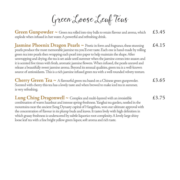Green Loose Leaf Teas

Green Gunpowder ~ Green tea rolled into tiny balls to retain flavour and aroma, which explode when infused in hot water. A powerful and refreshing drink. £3.45

**Jasmine Phoenix Dragon Pearls** ~ Poetic in form and fragrance, these stunning pearls produce the most memorable jasmine tea you'll ever taste. Each one is hand-made by rolling green tea into pearls then wrapping each pearl into paper to help maintain the shape. After unwrapping and drying, the tea is set aside until summer when the jasmine comes into season and it is scented five times with fresh, aromatic jasmine flowers. When infused, the pearls unravel and release a beautifully sweet jasmine aroma. Beyond its sensual qualities, green tea is a well-known source of antioxidants. This is a rich jasmine infused green tea with a well rounded velvety texture. £4.15

**Cherry Green Tea ~** A flavourful green tea based on a Chinese green gunpowder. Scented with cherry this tea has a lovely taste and when brewed to make iced tea in summer, is very refreshing. £3.65

**Lung Ching Dragonwell ~** Complex and multi-layered with an irresistible combination of warm hazelnut and intense spring-freshness. Yanghai tea garden, nestled in the mountains near the ancient Song Dynasty capital of Hangzhou, won our ultimate approval with the concentration of flavour in its plump buds and leaves. It tastes lively with high definition in which grassy freshness is underscored by subtle liquorice root complexity. A lovely large shiny loose leaf tea with a fine bright yellow green liquor, soft aroma and rich taste.

£3.75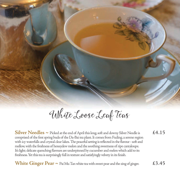

White Loose Leaf Teas

Silver Needles ~ Picked at the end of April this long, soft and downy Silver Needle is comprised of the first spring buds of the Da-Bai tea plant. It comes from Fuding, a serene region with icy waterfalls and crystal clear lakes. The peaceful setting is reflected in the flavour - soft and mellow, with the freshness of honeydew melon and the soothing sweetness of ripe cantaloupe. It's light; delicate quenching flavours are underpinned by cucumber and melon which add to its freshness. Yet this tea is surprisingly full in texture and satisfyingly velvety in its finish.

White Ginger Pear ~ Pai Mu Tan white tea with sweet pear and the zing of ginger.

£4.15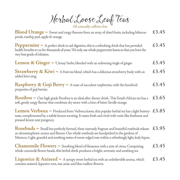Herbal Loose Leaf Teas

| <b>Blood Orange</b> $\sim$ Sweet and tangy flavours from an array of dried fruits, including hibiscus<br>petals, rosehip peel, apple & orange.                                                                                                                                                                            | £3.45 |
|---------------------------------------------------------------------------------------------------------------------------------------------------------------------------------------------------------------------------------------------------------------------------------------------------------------------------|-------|
| <b>Peppermint</b> $\sim A$ perfect drink to aid digestion, this is a refreshing drink that has provided<br>health benefits to us for thousands of years. We only use whole peppermint leaves so that you have the<br>very best grade of infusion.                                                                         | £3.45 |
| <b>Lemon &amp; Ginger <math>\sim</math></b> 'Citrusy' herbs, blended with an enlivening tingle of ginger.                                                                                                                                                                                                                 | £3.45 |
| <b>Strawberry &amp; Kiwi</b> $\sim$ A fruit tea blend, which has a delicious strawberry body with an<br>added kiwi zing.                                                                                                                                                                                                  | £3.45 |
| <b>Raspberry &amp; Goji Berry</b> $\sim$ A taste of succulent raspberries, with the beneficial<br>properties of goji berries.                                                                                                                                                                                             | £3.45 |
| <b>Rooibos</b> $\sim$ Our high grade Rooibos is an ideal after dinner drink. This South African tea has a<br>soft, gently tangy flavour that combines dry straw with a hint of bitter Seville orange.                                                                                                                     | £3.65 |
| <b>Lemon Verbena</b> $\sim$ Produced from Verbena leaves, this popular herbal tea has a light buttery<br>taste, complimented by a subtle lemon scenting. It tastes fresh and vivid with mint-like freshness and<br>pressed lemon zest pungency.                                                                           | £3.85 |
| $\text{Rosebuds}\sim\text{Small}$ but perfectly formed, these intensely fragrant and beautiful rosebuds release<br>an almosteuphoric aroma and flavour. Our whole rosebuds are handpicked in the gardens of<br>Morocco. Light, graceful and soothing notes of sweet-edged rose within a refreshingly light, leafy liquor. | £3.95 |
| Chamomile Flowers ~ Soothing blend of blossoms with a zest of citrus. Comprising<br>whole camomile flower-heads, this herbal drink produces a bright, aromatic and soothing tea                                                                                                                                           | £3.45 |
| Liquorice $\&$ Aniseed $\sim$ A syrupy sweet herbal tea with an unbelievable aroma, which<br>contains aniseed, liquorice root, star anise and blue mallow flowers.                                                                                                                                                        | £3.45 |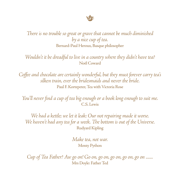

*There is no trouble so great or grave that cannot be much diminished by a nice cup of tea.* Bernard-Paul Heroux, Basque philosopher

*Wouldn't it be dreadful to live in a country where they didn't have tea?*  Noël Coward

*Coffee and chocolate are certainly wonderful, but they must forever carry tea's silken train, ever the bridesmaids and never the bride.* Paul F. Kortepeter, Tea with Victoria Rose

*You'll never find a cup of tea big enough or a book long enough to suit me.*  C.S. Lewis

*We had a kettle; we let it leak: Our not repairing made it worse. We haven't had any tea for a week. The bottom is out of the Universe.* Rudyard Kipling

> *Make tea, not war.*  Monty Python

*Cup of Tea Father? Aw go on! Go on, go on, go on, go on, go on .......*  Mrs Doyle: Father Ted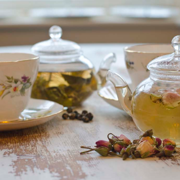